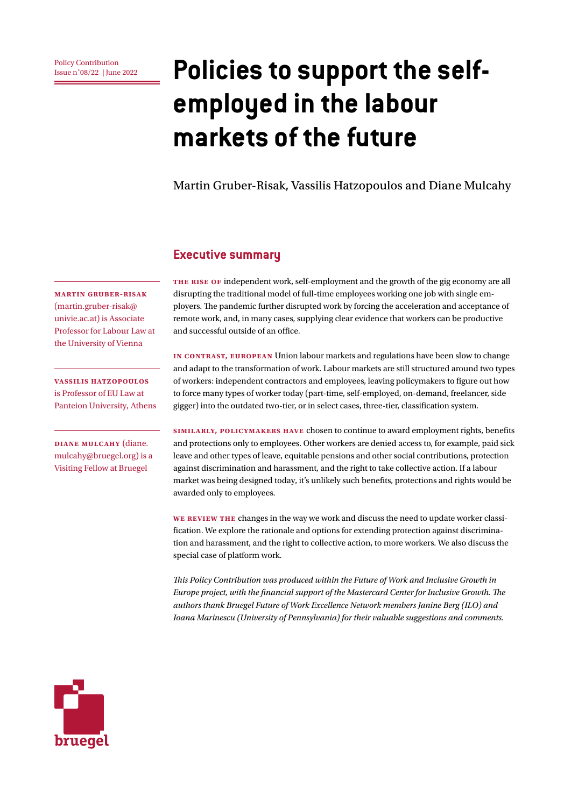# **Policy Contribution Policies to support the selfemployed in the labour markets of the future**

Martin Gruber-Risak, Vassilis Hatzopoulos and Diane Mulcahy

#### **Executive summary**

**The rise of** independent work, self-employment and the growth of the gig economy are all disrupting the traditional model of full-time employees working one job with single employers. The pandemic further disrupted work by forcing the acceleration and acceptance of remote work, and, in many cases, supplying clear evidence that workers can be productive and successful outside of an office.

**In contrast, European** Union labour markets and regulations have been slow to change and adapt to the transformation of work. Labour markets are still structured around two types of workers: independent contractors and employees, leaving policymakers to figure out how to force many types of worker today (part-time, self-employed, on-demand, freelancer, side gigger) into the outdated two-tier, or in select cases, three-tier, classification system.

**Similarly, policymakers have** chosen to continue to award employment rights, benefits and protections only to employees. Other workers are denied access to, for example, paid sick leave and other types of leave, equitable pensions and other social contributions, protection against discrimination and harassment, and the right to take collective action. If a labour market was being designed today, it's unlikely such benefits, protections and rights would be awarded only to employees.

**We review the** changes in the way we work and discuss the need to update worker classification. We explore the rationale and options for extending protection against discrimination and harassment, and the right to collective action, to more workers. We also discuss the special case of platform work.

*This Policy Contribution was produced within the Future of Work and Inclusive Growth in Europe project, with the financial support of the Mastercard Center for Inclusive Growth. The authors thank Bruegel Future of Work Excellence Network members Janine Berg (ILO) and Ioana Marinescu (University of Pennsylvania) for their valuable suggestions and comments.*



**Martin Gruber-Risak**  (martin.gruber-risak@ univie.ac.at) is Associate Professor for Labour Law at the University of Vienna

**Vassilis Hatzopoulos**  is Professor of EU Law at Panteion University, Athens

**Diane Mulcahy** (diane. mulcahy@bruegel.org) is a Visiting Fellow at Bruegel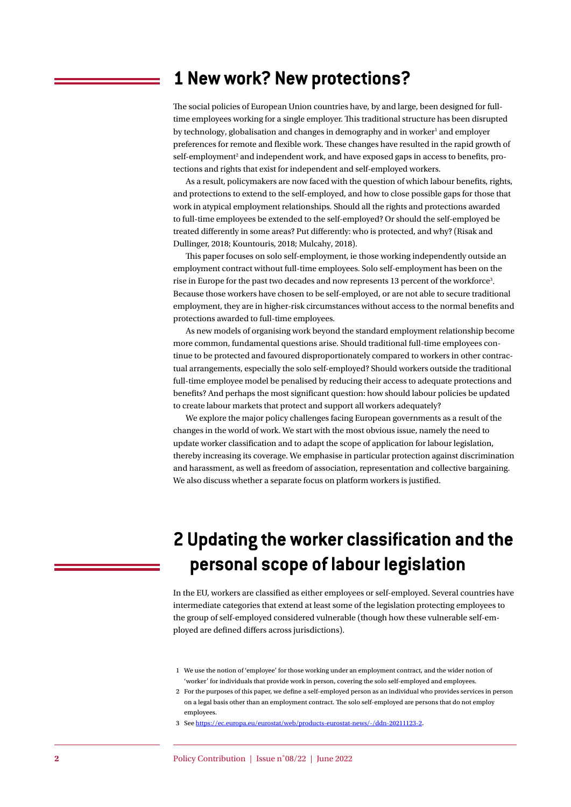### **1 New work? New protections?**

The social policies of European Union countries have, by and large, been designed for fulltime employees working for a single employer. This traditional structure has been disrupted by technology, globalisation and changes in demography and in worker<sup>1</sup> and employer preferences for remote and flexible work. These changes have resulted in the rapid growth of self-employment<sup>2</sup> and independent work, and have exposed gaps in access to benefits, protections and rights that exist for independent and self-employed workers.

As a result, policymakers are now faced with the question of which labour benefits, rights, and protections to extend to the self-employed, and how to close possible gaps for those that work in atypical employment relationships. Should all the rights and protections awarded to full-time employees be extended to the self-employed? Or should the self-employed be treated differently in some areas? Put differently: who is protected, and why? (Risak and Dullinger, 2018; Kountouris, 2018; Mulcahy, 2018).

This paper focuses on solo self-employment, ie those working independently outside an employment contract without full-time employees. Solo self-employment has been on the rise in Europe for the past two decades and now represents 13 percent of the workforce<sup>3</sup>. Because those workers have chosen to be self-employed, or are not able to secure traditional employment, they are in higher-risk circumstances without access to the normal benefits and protections awarded to full-time employees.

As new models of organising work beyond the standard employment relationship become more common, fundamental questions arise. Should traditional full-time employees continue to be protected and favoured disproportionately compared to workers in other contractual arrangements, especially the solo self-employed? Should workers outside the traditional full-time employee model be penalised by reducing their access to adequate protections and benefits? And perhaps the most significant question: how should labour policies be updated to create labour markets that protect and support all workers adequately?

We explore the major policy challenges facing European governments as a result of the changes in the world of work. We start with the most obvious issue, namely the need to update worker classification and to adapt the scope of application for labour legislation, thereby increasing its coverage. We emphasise in particular protection against discrimination and harassment, as well as freedom of association, representation and collective bargaining. We also discuss whether a separate focus on platform workers is justified.

# **2 Updating the worker classification and the personal scope of labour legislation**

In the EU, workers are classified as either employees or self-employed. Several countries have intermediate categories that extend at least some of the legislation protecting employees to the group of self-employed considered vulnerable (though how these vulnerable self-employed are defined differs across jurisdictions).

- 1 We use the notion of 'employee' for those working under an employment contract, and the wider notion of 'worker' for individuals that provide work in person, covering the solo self-employed and employees.
- 2 For the purposes of this paper, we define a self-employed person as an individual who provides services in person on a legal basis other than an employment contract. The solo self-employed are persons that do not employ employees.
- 3 See <https://ec.europa.eu/eurostat/web/products-eurostat-news/-/ddn-20211123-2>.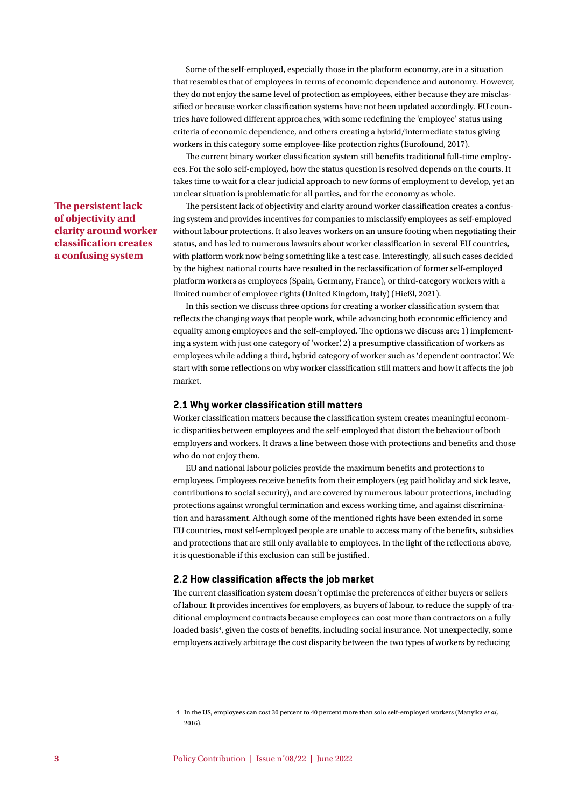Some of the self-employed, especially those in the platform economy, are in a situation that resembles that of employees in terms of economic dependence and autonomy. However, they do not enjoy the same level of protection as employees, either because they are misclassified or because worker classification systems have not been updated accordingly. EU countries have followed different approaches, with some redefining the 'employee' status using criteria of economic dependence, and others creating a hybrid/intermediate status giving workers in this category some employee-like protection rights (Eurofound, 2017).

The current binary worker classification system still benefits traditional full-time employees. For the solo self-employed**,** how the status question is resolved depends on the courts. It takes time to wait for a clear judicial approach to new forms of employment to develop, yet an unclear situation is problematic for all parties, and for the economy as whole.

The persistent lack of objectivity and clarity around worker classification creates a confusing system and provides incentives for companies to misclassify employees as self-employed without labour protections. It also leaves workers on an unsure footing when negotiating their status, and has led to numerous lawsuits about worker classification in several EU countries, with platform work now being something like a test case. Interestingly, all such cases decided by the highest national courts have resulted in the reclassification of former self-employed platform workers as employees (Spain, Germany, France), or third-category workers with a limited number of employee rights (United Kingdom, Italy) (Hießl, 2021).

In this section we discuss three options for creating a worker classification system that reflects the changing ways that people work, while advancing both economic efficiency and equality among employees and the self-employed. The options we discuss are: 1) implementing a system with just one category of 'worker', 2) a presumptive classification of workers as employees while adding a third, hybrid category of worker such as 'dependent contractor'. We start with some reflections on why worker classification still matters and how it affects the job market.

#### **2.1 Why worker classification still matters**

Worker classification matters because the classification system creates meaningful economic disparities between employees and the self-employed that distort the behaviour of both employers and workers. It draws a line between those with protections and benefits and those who do not enjoy them.

EU and national labour policies provide the maximum benefits and protections to employees. Employees receive benefits from their employers (eg paid holiday and sick leave, contributions to social security), and are covered by numerous labour protections, including protections against wrongful termination and excess working time, and against discrimination and harassment. Although some of the mentioned rights have been extended in some EU countries, most self-employed people are unable to access many of the benefits, subsidies and protections that are still only available to employees. In the light of the reflections above, it is questionable if this exclusion can still be justified.

#### **2.2 How classification affects the job market**

The current classification system doesn't optimise the preferences of either buyers or sellers of labour. It provides incentives for employers, as buyers of labour, to reduce the supply of traditional employment contracts because employees can cost more than contractors on a fully loaded basis<sup>4</sup>, given the costs of benefits, including social insurance. Not unexpectedly, some employers actively arbitrage the cost disparity between the two types of workers by reducing

#### **The persistent lack of objectivity and clarity around worker classification creates a confusing system**

<sup>4</sup> In the US, employees can cost 30 percent to 40 percent more than solo self-employed workers (Manyika *et al*, 2016).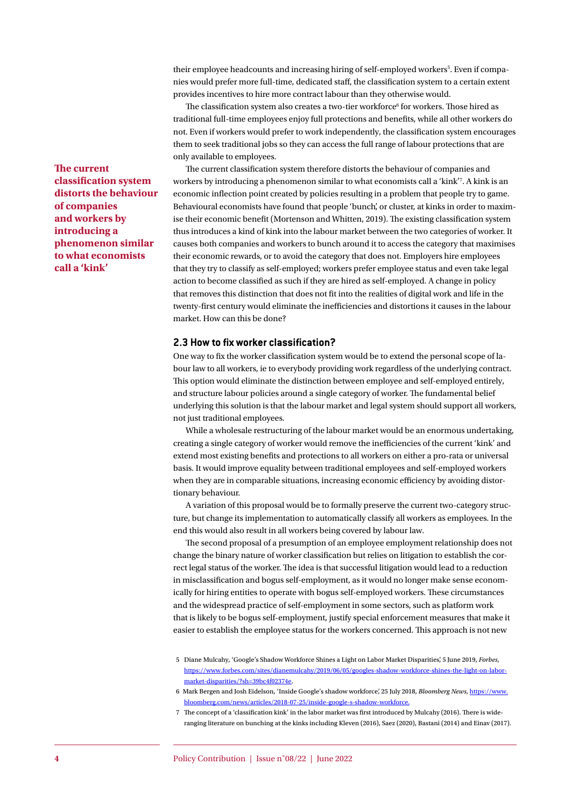their employee headcounts and increasing hiring of self-employed workers<sup>5</sup>. Even if companies would prefer more full-time, dedicated staff, the classification system to a certain extent provides incentives to hire more contract labour than they otherwise would.

The classification system also creates a two-tier workforce<sup>6</sup> for workers. Those hired as traditional full-time employees enjoy full protections and benefits, while all other workers do not. Even if workers would prefer to work independently, the classification system encourages them to seek traditional jobs so they can access the full range of labour protections that are only available to employees.

The current classification system therefore distorts the behaviour of companies and workers by introducing a phenomenon similar to what economists call a 'kink'7 . A kink is an economic inflection point created by policies resulting in a problem that people try to game. Behavioural economists have found that people 'bunch', or cluster, at kinks in order to maximise their economic benefit (Mortenson and Whitten, 2019). The existing classification system thus introduces a kind of kink into the labour market between the two categories of worker. It causes both companies and workers to bunch around it to access the category that maximises their economic rewards, or to avoid the category that does not. Employers hire employees that they try to classify as self-employed; workers prefer employee status and even take legal action to become classified as such if they are hired as self-employed. A change in policy that removes this distinction that does not fit into the realities of digital work and life in the twenty-first century would eliminate the inefficiencies and distortions it causes in the labour market. How can this be done?

#### **2.3 How to fix worker classification?**

One way to fix the worker classification system would be to extend the personal scope of labour law to all workers, ie to everybody providing work regardless of the underlying contract. This option would eliminate the distinction between employee and self-employed entirely, and structure labour policies around a single category of worker. The fundamental belief underlying this solution is that the labour market and legal system should support all workers, not just traditional employees.

While a wholesale restructuring of the labour market would be an enormous undertaking, creating a single category of worker would remove the inefficiencies of the current 'kink' and extend most existing benefits and protections to all workers on either a pro-rata or universal basis. It would improve equality between traditional employees and self-employed workers when they are in comparable situations, increasing economic efficiency by avoiding distortionary behaviour.

A variation of this proposal would be to formally preserve the current two-category structure, but change its implementation to automatically classify all workers as employees. In the end this would also result in all workers being covered by labour law.

The second proposal of a presumption of an employee employment relationship does not change the binary nature of worker classification but relies on litigation to establish the correct legal status of the worker. The idea is that successful litigation would lead to a reduction in misclassification and bogus self-employment, as it would no longer make sense economically for hiring entities to operate with bogus self-employed workers. These circumstances and the widespread practice of self-employment in some sectors, such as platform work that is likely to be bogus self-employment, justify special enforcement measures that make it easier to establish the employee status for the workers concerned. This approach is not new

7 The concept of a 'classification kink' in the labor market was first introduced by Mulcahy (2016). There is wideranging literature on bunching at the kinks including Kleven (2016), Saez (2020), Bastani (2014) and Einav (2017).

**The current classification system distorts the behaviour of companies and workers by introducing a phenomenon similar to what economists call a 'kink'**

<sup>5</sup> Diane Mulcahy, 'Google's Shadow Workforce Shines a Light on Labor Market Disparities', 5 June 2019, *Forbes*, [https://www.forbes.com/sites/dianemulcahy/2019/06/05/googles-shadow-workforce-shines-the-light-on-labor](https://www.forbes.com/sites/dianemulcahy/2019/06/05/googles-shadow-workforce-shines-the-light-on-labor-market-disparities/?sh=39bc4f02374e)[market-disparities/?sh=39bc4f02374e](https://www.forbes.com/sites/dianemulcahy/2019/06/05/googles-shadow-workforce-shines-the-light-on-labor-market-disparities/?sh=39bc4f02374e).

<sup>6</sup> Mark Bergen and Josh Eidelson, 'Inside Google's shadow workforce', 25 July 2018, *Bloomberg News*, [https://www.](https://www.bloomberg.com/news/articles/2018-07-25/inside-google-s-shadow-workforce) [bloomberg.com/news/articles/2018-07-25/inside-google-s-shadow-workforce.](https://www.bloomberg.com/news/articles/2018-07-25/inside-google-s-shadow-workforce)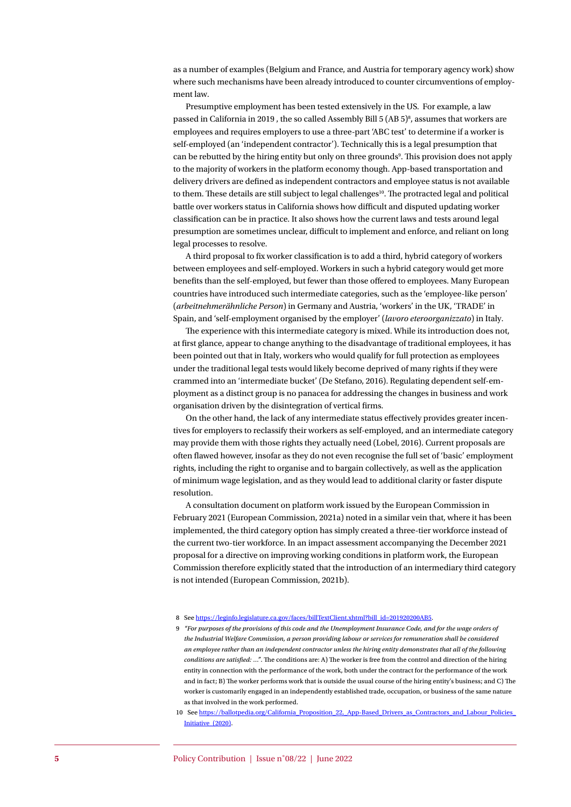as a number of examples (Belgium and France, and Austria for temporary agency work) show where such mechanisms have been already introduced to counter circumventions of employment law.

Presumptive employment has been tested extensively in the US. For example, a law passed in California in 2019, the so called Assembly Bill 5 (AB 5)<sup>8</sup>, assumes that workers are employees and requires employers to use a three-part ['ABC test'](https://www.mass.gov/service-details/independent-contractors) to determine if a worker is self-employed (an 'independent contractor'). Technically this is a legal presumption that can be rebutted by the hiring entity but only on three grounds<sup>9</sup>. This provision does not apply to the majority of workers in the platform economy though. App-based transportation and delivery drivers are defined as independent contractors and employee status is not available to them. These details are still subject to legal challenges<sup>10</sup>. The protracted legal and political battle over workers status in California shows how difficult and disputed updating worker classification can be in practice. It also shows how the current laws and tests around legal presumption are sometimes unclear, difficult to implement and enforce, and reliant on long legal processes to resolve.

A third proposal to fix worker classification is to add a third, hybrid category of workers between employees and self-employed. Workers in such a hybrid category would get more benefits than the self-employed, but fewer than those offered to employees. Many European countries have introduced such intermediate categories, such as the 'employee-like person' (*arbeitnehmerähnliche Person*) in Germany and Austria, 'workers' in the UK, 'TRADE' in Spain, and 'self-employment organised by the employer' (*lavoro eteroorganizzato*) in Italy.

The experience with this intermediate category is mixed. While its introduction does not, at first glance, appear to change anything to the disadvantage of traditional employees, it has been pointed out that in Italy, workers who would qualify for full protection as employees under the traditional legal tests would likely become deprived of many rights if they were crammed into an 'intermediate bucket' (De Stefano, 2016). Regulating dependent self-employment as a distinct group is no panacea for addressing the changes in business and work organisation driven by the disintegration of vertical firms.

On the other hand, the lack of any intermediate status effectively provides greater incentives for employers to reclassify their workers as self-employed, and an intermediate category may provide them with those rights they actually need (Lobel, 2016). Current proposals are often flawed however, insofar as they do not even recognise the full set of 'basic' employment rights, including the right to organise and to bargain collectively, as well as the application of minimum wage legislation, and as they would lead to additional clarity or faster dispute resolution.

A consultation document on platform work issued by the European Commission in February 2021 (European Commission, 2021a) noted in a similar vein that, where it has been implemented, the third category option has simply created a three-tier workforce instead of the current two-tier workforce. In an impact assessment accompanying the December 2021 proposal for a directive on improving working conditions in platform work, the European Commission therefore explicitly stated that the introduction of an intermediary third category is not intended (European Commission, 2021b).

- 8 See [https://leginfo.legislature.ca.gov/faces/billTextClient.xhtml?bill\\_id=201920200AB5](https://leginfo.legislature.ca.gov/faces/billTextClient.xhtml?bill_id=201920200AB5).
- 9 *"For purposes of the provisions of this code and the Unemployment Insurance Code, and for the wage orders of the Industrial Welfare Commission, a person providing labour or services for remuneration shall be considered an employee rather than an independent contractor unless the hiring entity demonstrates that all of the following conditions are satisfied: …"*. The conditions are: A) The worker is free from the control and direction of the hiring entity in connection with the performance of the work, both under the contract for the performance of the work and in fact; B) The worker performs work that is outside the usual course of the hiring entity's business; and C) The worker is customarily engaged in an independently established trade, occupation, or business of the same nature as that involved in the work performed.
- 10 See https://ballotpedia.org/California\_Proposition\_22,\_App-Based\_Drivers\_as\_Contractors\_and\_Labour\_Policies [Initiative\\_\(2020\)](https://ballotpedia.org/California_Proposition_22,_App-Based_Drivers_as_Contractors_and_Labour_Policies_Initiative_(2020)).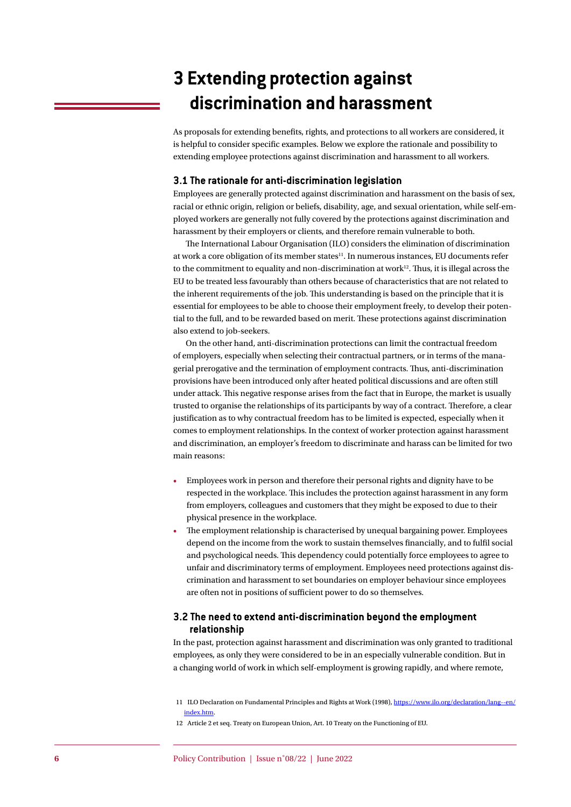# **3 Extending protection against discrimination and harassment**

As proposals for extending benefits, rights, and protections to all workers are considered, it is helpful to consider specific examples. Below we explore the rationale and possibility to extending employee protections against discrimination and harassment to all workers.

#### **3.1 The rationale for anti-discrimination legislation**

Employees are generally protected against discrimination and harassment on the basis of sex, racial or ethnic origin, religion or beliefs, disability, age, and sexual orientation, while self-employed workers are generally not fully covered by the protections against discrimination and harassment by their employers or clients, and therefore remain vulnerable to both.

The International Labour Organisation (ILO) considers the elimination of discrimination at work a core obligation of its member states<sup>11</sup>. In numerous instances, EU documents refer to the commitment to equality and non-discrimination at work $12$ . Thus, it is illegal across the EU to be treated less favourably than others because of characteristics that are not related to the inherent requirements of the job. This understanding is based on the principle that it is essential for employees to be able to choose their employment freely, to develop their potential to the full, and to be rewarded based on merit. These protections against discrimination also extend to job-seekers.

On the other hand, anti-discrimination protections can limit the contractual freedom of employers, especially when selecting their contractual partners, or in terms of the managerial prerogative and the termination of employment contracts. Thus, anti-discrimination provisions have been introduced only after heated political discussions and are often still under attack. This negative response arises from the fact that in Europe, the market is usually trusted to organise the relationships of its participants by way of a contract. Therefore, a clear justification as to why contractual freedom has to be limited is expected, especially when it comes to employment relationships. In the context of worker protection against harassment and discrimination, an employer's freedom to discriminate and harass can be limited for two main reasons:

- Employees work in person and therefore their personal rights and dignity have to be respected in the workplace. This includes the protection against harassment in any form from employers, colleagues and customers that they might be exposed to due to their physical presence in the workplace.
- The employment relationship is characterised by unequal bargaining power. Employees depend on the income from the work to sustain themselves financially, and to fulfil social and psychological needs. This dependency could potentially force employees to agree to unfair and discriminatory terms of employment. Employees need protections against discrimination and harassment to set boundaries on employer behaviour since employees are often not in positions of sufficient power to do so themselves.

#### **3.2 The need to extend anti-discrimination beyond the employment relationship**

In the past, protection against harassment and discrimination was only granted to traditional employees, as only they were considered to be in an especially vulnerable condition. But in a changing world of work in which self-employment is growing rapidly, and where remote,

<sup>11</sup> ILO Declaration on Fundamental Principles and Rights at Work (1998), [https://www.ilo.org/declaration/lang--en/](https://www.ilo.org/declaration/lang--en/index.htm) [index.htm](https://www.ilo.org/declaration/lang--en/index.htm).

<sup>12</sup> Article 2 et seq. Treaty on European Union, Art. 10 Treaty on the Functioning of EU.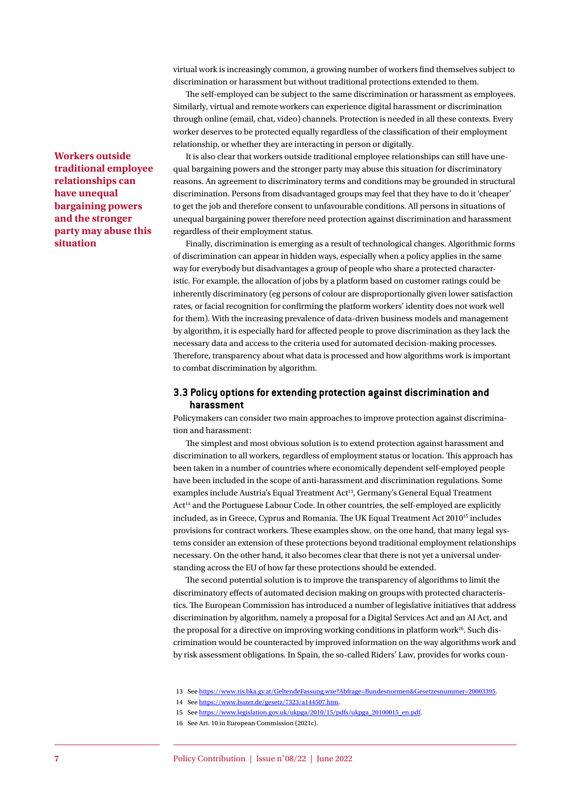virtual work is increasingly common, a growing number of workers find themselves subject to discrimination or harassment but without traditional protections extended to them.

The self-employed can be subject to the same discrimination or harassment as employees. Similarly, virtual and remote workers can experience digital harassment or discrimination through online (email, chat, video) channels. Protection is needed in all these contexts. Every worker deserves to be protected equally regardless of the classification of their employment relationship, or whether they are interacting in person or digitally.

It is also clear that workers outside traditional employee relationships can still have unequal bargaining powers and the stronger party may abuse this situation for discriminatory reasons. An agreement to discriminatory terms and conditions may be grounded in structural discrimination. Persons from disadvantaged groups may feel that they have to do it 'cheaper' to get the job and therefore consent to unfavourable conditions. All persons in situations of unequal bargaining power therefore need protection against discrimination and harassment regardless of their employment status.

Finally, discrimination is emerging as a result of technological changes. Algorithmic forms of discrimination can appear in hidden ways, especially when a policy applies in the same way for everybody but disadvantages a group of people who share a protected characteristic. For example, the allocation of jobs by a platform based on customer ratings could be inherently discriminatory (eg persons of colour are disproportionally given lower satisfaction rates, or facial recognition for confirming the platform workers' identity does not work well for them). With the increasing prevalence of data-driven business models and management by algorithm, it is especially hard for affected people to prove discrimination as they lack the necessary data and access to the criteria used for automated decision-making processes. Therefore, transparency about what data is processed and how algorithms work is important to combat discrimination by algorithm.

#### **3.3 Policy options for extending protection against discrimination and harassment**

Policymakers can consider two main approaches to improve protection against discrimination and harassment:

The simplest and most obvious solution is to extend protection against harassment and discrimination to all workers, regardless of employment status or location. This approach has been taken in a number of countries where economically dependent self-employed people have been included in the scope of anti-harassment and discrimination regulations. Some examples include Austria's [Equal Treatment Act](https://www.ris.bka.gv.at/GeltendeFassung.wxe?Abfrage=Bundesnormen&Gesetzesnummer=20003395)<sup>13</sup>, Germany's General Equal Treatment [Act](https://www.buzer.de/gesetz/7323/a144507.htm)<sup>14</sup> and the Portuguese Labour Code. In other countries, the self-employed are explicitly included, as in Greece, Cyprus and Romania. The UK [Equal Treatment Act](https://www.legislation.gov.uk/ukpga/2010/15/pdfs/ukpga_20100015_en.pdf) 2010<sup>15</sup> includes provisions for contract workers. These examples show, on the one hand, that many legal systems consider an extension of these protections beyond traditional employment relationships necessary. On the other hand, it also becomes clear that there is not yet a universal understanding across the EU of how far these protections should be extended.

The second potential solution is to improve the transparency of algorithms to limit the discriminatory effects of automated decision making on groups with protected characteristics. The European Commission has introduced a number of legislative initiatives that address discrimination by algorithm, namely a proposal for a [Digital Services Act](https://eur-lex.europa.eu/legal-content/en/TXT/?uri=COM:2020:825:FIN) and an AI Act, and the proposal for a directive on improving working conditions in platform work<sup>16</sup>. Such discrimination would be counteracted by improved information on the way algorithms work and by risk assessment obligations. In Spain, the so-called Riders' Law, provides for works coun-

13 See <https://www.ris.bka.gv.at/GeltendeFassung.wxe?Abfrage=Bundesnormen&Gesetzesnummer=20003395>.

16 See Art. 10 in European Commission (2021c).

**Workers outside traditional employee relationships can have unequal bargaining powers and the stronger party may abuse this situation**

<sup>14</sup> See <https://www.buzer.de/gesetz/7323/a144507.htm>.

<sup>15</sup> See [https://www.legislation.gov.uk/ukpga/2010/15/pdfs/ukpga\\_20100015\\_en.pdf](https://www.legislation.gov.uk/ukpga/2010/15/pdfs/ukpga_20100015_en.pdf).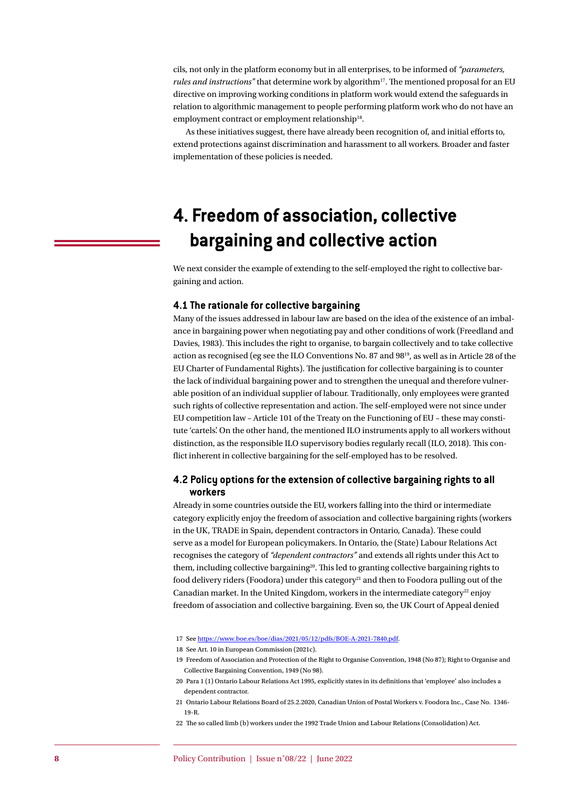cils, not only in the platform economy but in all enterprises, to be informed of *"parameters, rules and instructions"* that determine work by algorithm<sup>17</sup>. The mentioned proposal for an EU directive on improving working conditions in platform work would extend the safeguards in relation to algorithmic management to people performing platform work who do not have an employment contract or employment relationship<sup>18</sup>.

As these initiatives suggest, there have already been recognition of, and initial efforts to, extend protections against discrimination and harassment to all workers. Broader and faster implementation of these policies is needed.

# **4. Freedom of association, collective bargaining and collective action**

We next consider the example of extending to the self-employed the right to collective bargaining and action.

#### **4.1 The rationale for collective bargaining**

Many of the issues addressed in labour law are based on the idea of the existence of an imbalance in bargaining power when negotiating pay and other conditions of work (Freedland and Davies, 1983). This includes the right to organise, to bargain collectively and to take collective action as recognised (eg see the ILO Conventions No. 87 and 9819, as well as in Article 28 of the EU Charter of Fundamental Rights). The justification for collective bargaining is to counter the lack of individual bargaining power and to strengthen the unequal and therefore vulnerable position of an individual supplier of labour. Traditionally, only employees were granted such rights of collective representation and action. The self-employed were not since under EU competition law – Article 101 of the Treaty on the Functioning of EU – these may constitute 'cartels'. On the other hand, the mentioned ILO instruments apply to all workers without distinction, as the responsible ILO supervisory bodies regularly recall (ILO, 2018). This conflict inherent in collective bargaining for the self-employed has to be resolved.

#### **4.2 Policy options for the extension of collective bargaining rights to all workers**

Already in some countries outside the EU, workers falling into the third or intermediate category explicitly enjoy the freedom of association and collective bargaining rights (workers in the UK, TRADE in Spain, dependent contractors in Ontario, Canada). These could serve as a model for European policymakers. In Ontario, the (State) Labour Relations Act recognises the category of *"dependent contractors"* and extends all rights under this Act to them, including collective bargaining<sup>20</sup>. This led to granting collective bargaining rights to food delivery riders (Foodora) under this category<sup>21</sup> and then to Foodora pulling out of the Canadian market. In the United Kingdom, workers in the intermediate category<sup>22</sup> enjoy freedom of association and collective bargaining. Even so, the UK Court of Appeal denied

<sup>17</sup> See <https://www.boe.es/boe/dias/2021/05/12/pdfs/BOE-A-2021-7840.pdf>.

<sup>18</sup> See Art. 10 in European Commission (2021c).

<sup>19</sup> Freedom of Association and Protection of the Right to Organise Convention, 1948 (No 87); Right to Organise and Collective Bargaining Convention, 1949 (No 98).

<sup>20</sup> Para 1 (1) Ontario Labour Relations Act 1995, explicitly states in its definitions that 'employee' also includes a dependent contractor.

<sup>21</sup> Ontario Labour Relations Board of 25.2.2020, Canadian Union of Postal Workers v. Foodora Inc., Case No. 1346- 19-R.

<sup>22</sup> The so called limb (b) workers under the 1992 Trade Union and Labour Relations (Consolidation) Act.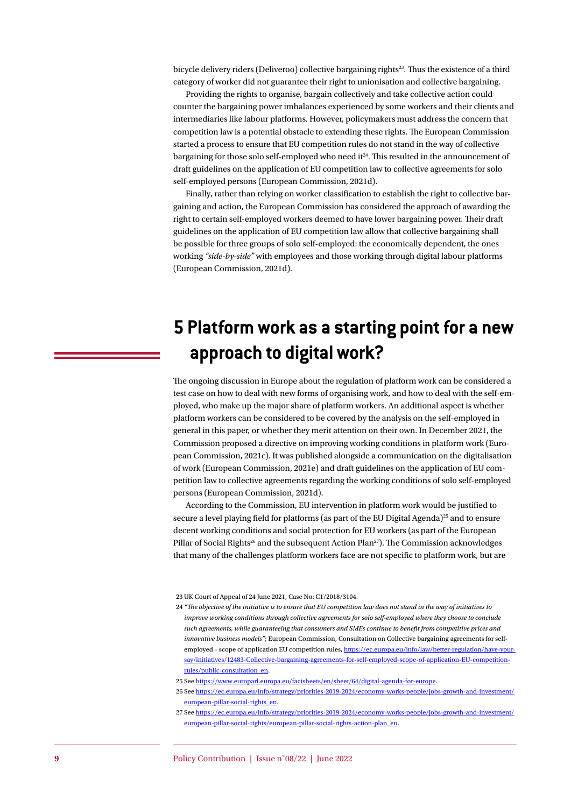bicycle delivery riders (Deliveroo) collective bargaining rights<sup>23</sup>. Thus the existence of a third category of worker did not guarantee their right to unionisation and collective bargaining.

Providing the rights to organise, bargain collectively and take collective action could counter the bargaining power imbalances experienced by some workers and their clients and intermediaries like labour platforms. However, policymakers must address the concern that competition law is a potential obstacle to extending these rights. The European Commission started a process to ensure that EU competition rules do not stand in the way of collective bargaining for those solo self-employed who need it<sup>24</sup>. This resulted in the announcement of draft guidelines on the application of EU competition law to collective agreements for solo self-employed persons (European Commission, 2021d).

Finally, rather than relying on worker classification to establish the right to collective bargaining and action, the European Commission has considered the approach of awarding the right to certain self-employed workers deemed to have lower bargaining power. Their draft guidelines on the application of EU competition law allow that collective bargaining shall be possible for three groups of solo self-employed: the economically dependent, the ones working *"side-by-side"* with employees and those working through digital labour platforms (European Commission, 2021d).

### **5 Platform work as a starting point for a new approach to digital work?**

The ongoing discussion in Europe about the regulation of platform work can be considered a test case on how to deal with new forms of organising work, and how to deal with the self-employed, who make up the major share of platform workers. An additional aspect is whether platform workers can be considered to be covered by the analysis on the self-employed in general in this paper, or whether they merit attention on their own. In December 2021, the Commission proposed a directive on improving working conditions in platform work (European Commission, 2021c). It was published alongside a communication on the digitalisation of work (European Commission, 2021e) and draft guidelines on the application of EU competition law to collective agreements regarding the working conditions of solo self-employed persons (European Commission, 2021d).

According to the Commission, EU intervention in platform work would be justified to secure a level playing field for platforms (as part of the EU Digital Agenda)<sup>25</sup> and to ensure decent working conditions and social protection for EU workers (as part of the European Pillar of Social Rights<sup>26</sup> and the subsequent Action Plan<sup>27</sup>). The Commission acknowledges that many of the challenges platform workers face are not specific to platform work, but are

24 *"The objective of the initiative is to ensure that EU competition law does not stand in the way of initiatives to improve working conditions through collective agreements for solo self-employed where they choose to conclude such agreements, while guaranteeing that consumers and SMEs continue to benefit from competitive prices and innovative business models"*; European Commission, Consultation on Collective bargaining agreements for selfemployed – scope of application EU competition rules, [https://ec.europa.eu/info/law/better-regulation/have-your](https://ec.europa.eu/info/law/better-regulation/have-your-say/initiatives/12483-Collective-bargaining-agreements-for-self-employed-scope-of-application-EU-competition-rules/public-consultation_en)[say/initiatives/12483-Collective-bargaining-agreements-for-self-employed-scope-of-application-EU-competition](https://ec.europa.eu/info/law/better-regulation/have-your-say/initiatives/12483-Collective-bargaining-agreements-for-self-employed-scope-of-application-EU-competition-rules/public-consultation_en)[rules/public-consultation\\_en](https://ec.europa.eu/info/law/better-regulation/have-your-say/initiatives/12483-Collective-bargaining-agreements-for-self-employed-scope-of-application-EU-competition-rules/public-consultation_en).

<sup>23</sup> UK Court of Appeal of 24 June 2021, Case No: C1/2018/3104.

<sup>25</sup> See <https://www.europarl.europa.eu/factsheets/en/sheet/64/digital-agenda-for-europe>.

<sup>26</sup> See [https://ec.europa.eu/info/strategy/priorities-2019-2024/economy-works-people/jobs-growth-and-investment/](https://ec.europa.eu/info/strategy/priorities-2019-2024/economy-works-people/jobs-growth-and-investment/european-pillar-social-rights_en) [european-pillar-social-rights\\_en](https://ec.europa.eu/info/strategy/priorities-2019-2024/economy-works-people/jobs-growth-and-investment/european-pillar-social-rights_en).

<sup>27</sup> See [https://ec.europa.eu/info/strategy/priorities-2019-2024/economy-works-people/jobs-growth-and-investment/](https://ec.europa.eu/info/strategy/priorities-2019-2024/economy-works-people/jobs-growth-and-investment/european-pillar-social-rights/european-pillar-social-rights-action-plan_en) [european-pillar-social-rights/european-pillar-social-rights-action-plan\\_en](https://ec.europa.eu/info/strategy/priorities-2019-2024/economy-works-people/jobs-growth-and-investment/european-pillar-social-rights/european-pillar-social-rights-action-plan_en).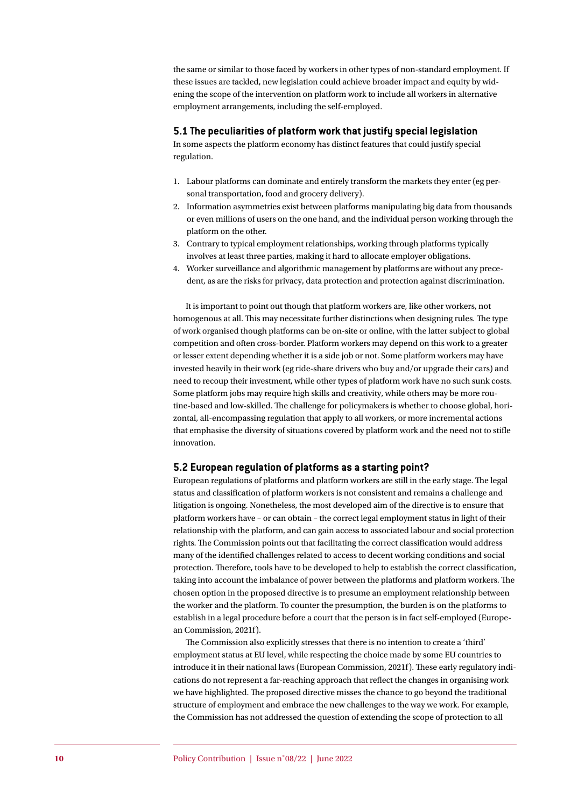the same or similar to those faced by workers in other types of non-standard employment. If these issues are tackled, new legislation could achieve broader impact and equity by widening the scope of the intervention on platform work to include all workers in alternative employment arrangements, including the self-employed.

#### **5.1 The peculiarities of platform work that justify special legislation**

In some aspects the platform economy has distinct features that could justify special regulation.

- 1. Labour platforms can dominate and entirely transform the markets they enter (eg personal transportation, food and grocery delivery).
- 2. Information asymmetries exist between platforms manipulating big data from thousands or even millions of users on the one hand, and the individual person working through the platform on the other.
- 3. Contrary to typical employment relationships, working through platforms typically involves at least three parties, making it hard to allocate employer obligations.
- 4. Worker surveillance and algorithmic management by platforms are without any precedent, as are the risks for privacy, data protection and protection against discrimination.

It is important to point out though that platform workers are, like other workers, not homogenous at all. This may necessitate further distinctions when designing rules. The type of work organised though platforms can be on-site or online, with the latter subject to global competition and often cross-border. Platform workers may depend on this work to a greater or lesser extent depending whether it is a side job or not. Some platform workers may have invested heavily in their work (eg ride-share drivers who buy and/or upgrade their cars) and need to recoup their investment, while other types of platform work have no such sunk costs. Some platform jobs may require high skills and creativity, while others may be more routine-based and low-skilled. The challenge for policymakers is whether to choose global, horizontal, all-encompassing regulation that apply to all workers, or more incremental actions that emphasise the diversity of situations covered by platform work and the need not to stifle innovation.

#### **5.2 European regulation of platforms as a starting point?**

European regulations of platforms and platform workers are still in the early stage. The legal status and classification of platform workers is not consistent and remains a challenge and litigation is ongoing. Nonetheless, the most developed aim of the directive is to ensure that platform workers have – or can obtain – the correct legal employment status in light of their relationship with the platform, and can gain access to associated labour and social protection rights. The Commission points out that facilitating the correct classification would address many of the identified challenges related to access to decent working conditions and social protection. Therefore, tools have to be developed to help to establish the correct classification, taking into account the imbalance of power between the platforms and platform workers. The chosen option in the proposed directive is to presume an employment relationship between the worker and the platform. To counter the presumption, the burden is on the platforms to establish in a legal procedure before a court that the person is in fact self-employed (European Commission, 2021f).

The Commission also explicitly stresses that there is no intention to create a 'third' employment status at EU level, while respecting the choice made by some EU countries to introduce it in their national laws (European Commission, 2021f). These early regulatory indications do not represent a far-reaching approach that reflect the changes in organising work we have highlighted. The proposed directive misses the chance to go beyond the traditional structure of employment and embrace the new challenges to the way we work. For example, the Commission has not addressed the question of extending the scope of protection to all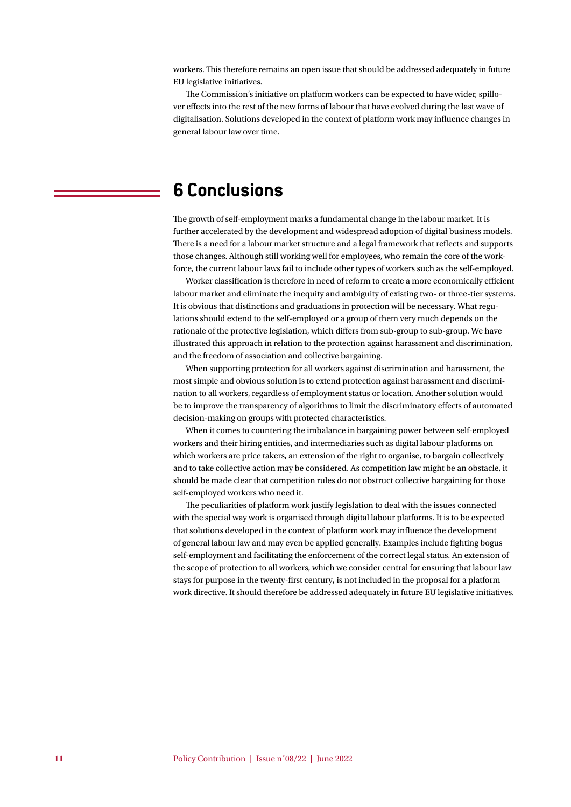workers. This therefore remains an open issue that should be addressed adequately in future EU legislative initiatives.

The Commission's initiative on platform workers can be expected to have wider, spillover effects into the rest of the new forms of labour that have evolved during the last wave of digitalisation. Solutions developed in the context of platform work may influence changes in general labour law over time.

### **6 Conclusions**

The growth of self-employment marks a fundamental change in the labour market. It is further accelerated by the development and widespread adoption of digital business models. There is a need for a labour market structure and a legal framework that reflects and supports those changes. Although still working well for employees, who remain the core of the workforce, the current labour laws fail to include other types of workers such as the self-employed.

Worker classification is therefore in need of reform to create a more economically efficient labour market and eliminate the inequity and ambiguity of existing two- or three-tier systems. It is obvious that distinctions and graduations in protection will be necessary. What regulations should extend to the self-employed or a group of them very much depends on the rationale of the protective legislation, which differs from sub-group to sub-group. We have illustrated this approach in relation to the protection against harassment and discrimination, and the freedom of association and collective bargaining.

When supporting protection for all workers against discrimination and harassment, the most simple and obvious solution is to extend protection against harassment and discrimination to all workers, regardless of employment status or location. Another solution would be to improve the transparency of algorithms to limit the discriminatory effects of automated decision-making on groups with protected characteristics.

When it comes to countering the imbalance in bargaining power between self-employed workers and their hiring entities, and intermediaries such as digital labour platforms on which workers are price takers, an extension of the right to organise, to bargain collectively and to take collective action may be considered. As competition law might be an obstacle, it should be made clear that competition rules do not obstruct collective bargaining for those self-employed workers who need it.

The peculiarities of platform work justify legislation to deal with the issues connected with the special way work is organised through digital labour platforms. It is to be expected that solutions developed in the context of platform work may influence the development of general labour law and may even be applied generally. Examples include fighting bogus self-employment and facilitating the enforcement of the correct legal status. An extension of the scope of protection to all workers, which we consider central for ensuring that labour law stays for purpose in the twenty-first century**,** is not included in the proposal for a platform work directive. It should therefore be addressed adequately in future EU legislative initiatives.